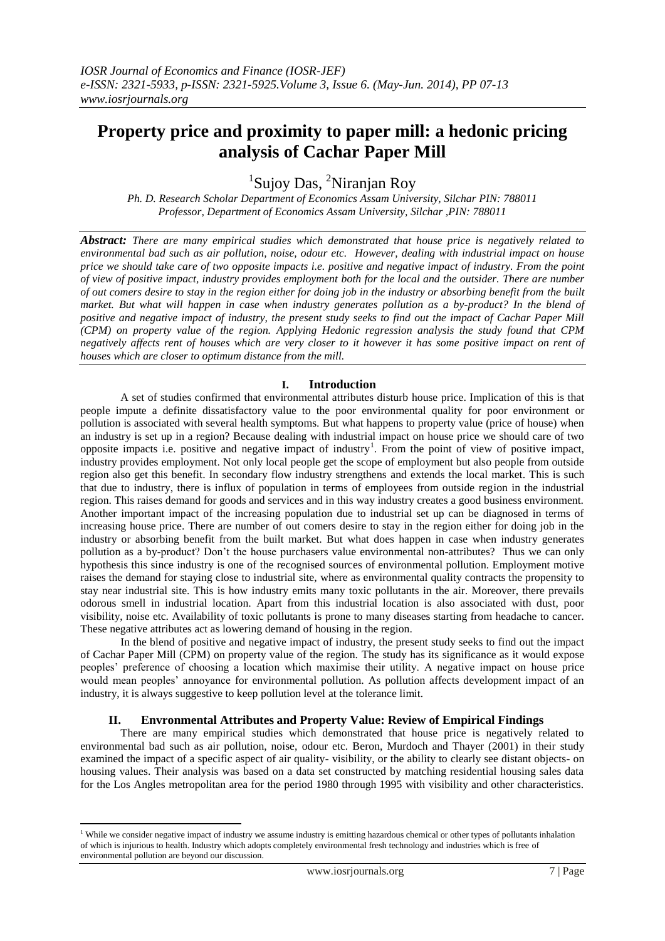# **Property price and proximity to paper mill: a hedonic pricing analysis of Cachar Paper Mill**

<sup>1</sup>Sujoy Das, <sup>2</sup>Niranjan Roy

*Ph. D. Research Scholar Department of Economics Assam University, Silchar PIN: 788011 Professor, Department of Economics Assam University, Silchar ,PIN: 788011*

*Abstract: There are many empirical studies which demonstrated that house price is negatively related to environmental bad such as air pollution, noise, odour etc. However, dealing with industrial impact on house price we should take care of two opposite impacts i.e. positive and negative impact of industry. From the point of view of positive impact, industry provides employment both for the local and the outsider. There are number of out comers desire to stay in the region either for doing job in the industry or absorbing benefit from the built market. But what will happen in case when industry generates pollution as a by-product? In the blend of positive and negative impact of industry, the present study seeks to find out the impact of Cachar Paper Mill (CPM) on property value of the region. Applying Hedonic regression analysis the study found that CPM negatively affects rent of houses which are very closer to it however it has some positive impact on rent of houses which are closer to optimum distance from the mill.* 

# **I. Introduction**

A set of studies confirmed that environmental attributes disturb house price. Implication of this is that people impute a definite dissatisfactory value to the poor environmental quality for poor environment or pollution is associated with several health symptoms. But what happens to property value (price of house) when an industry is set up in a region? Because dealing with industrial impact on house price we should care of two opposite impacts i.e. positive and negative impact of industry<sup>1</sup>. From the point of view of positive impact, industry provides employment. Not only local people get the scope of employment but also people from outside region also get this benefit. In secondary flow industry strengthens and extends the local market. This is such that due to industry, there is influx of population in terms of employees from outside region in the industrial region. This raises demand for goods and services and in this way industry creates a good business environment. Another important impact of the increasing population due to industrial set up can be diagnosed in terms of increasing house price. There are number of out comers desire to stay in the region either for doing job in the industry or absorbing benefit from the built market. But what does happen in case when industry generates pollution as a by-product? Don't the house purchasers value environmental non-attributes? Thus we can only hypothesis this since industry is one of the recognised sources of environmental pollution. Employment motive raises the demand for staying close to industrial site, where as environmental quality contracts the propensity to stay near industrial site. This is how industry emits many toxic pollutants in the air. Moreover, there prevails odorous smell in industrial location. Apart from this industrial location is also associated with dust, poor visibility, noise etc. Availability of toxic pollutants is prone to many diseases starting from headache to cancer. These negative attributes act as lowering demand of housing in the region.

 In the blend of positive and negative impact of industry, the present study seeks to find out the impact of Cachar Paper Mill (CPM) on property value of the region. The study has its significance as it would expose peoples' preference of choosing a location which maximise their utility. A negative impact on house price would mean peoples' annoyance for environmental pollution. As pollution affects development impact of an industry, it is always suggestive to keep pollution level at the tolerance limit.

## **II. Envronmental Attributes and Property Value: Review of Empirical Findings**

There are many empirical studies which demonstrated that house price is negatively related to environmental bad such as air pollution, noise, odour etc. Beron, Murdoch and Thayer (2001) in their study examined the impact of a specific aspect of air quality- visibility, or the ability to clearly see distant objects- on housing values. Their analysis was based on a data set constructed by matching residential housing sales data for the Los Angles metropolitan area for the period 1980 through 1995 with visibility and other characteristics.

**.** 

 $<sup>1</sup>$  While we consider negative impact of industry we assume industry is emitting hazardous chemical or other types of pollutants inhalation</sup> of which is injurious to health. Industry which adopts completely environmental fresh technology and industries which is free of environmental pollution are beyond our discussion.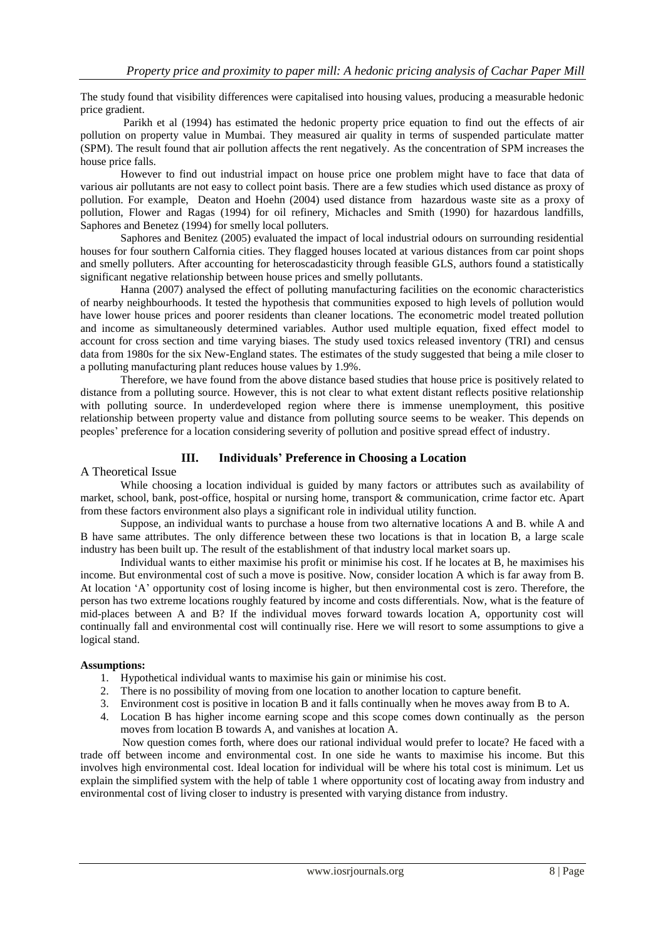The study found that visibility differences were capitalised into housing values, producing a measurable hedonic price gradient.

 Parikh et al (1994) has estimated the hedonic property price equation to find out the effects of air pollution on property value in Mumbai. They measured air quality in terms of suspended particulate matter (SPM). The result found that air pollution affects the rent negatively. As the concentration of SPM increases the house price falls.

 However to find out industrial impact on house price one problem might have to face that data of various air pollutants are not easy to collect point basis. There are a few studies which used distance as proxy of pollution. For example, Deaton and Hoehn (2004) used distance from hazardous waste site as a proxy of pollution, Flower and Ragas (1994) for oil refinery, Michacles and Smith (1990) for hazardous landfills, Saphores and Benetez (1994) for smelly local polluters.

 Saphores and Benitez (2005) evaluated the impact of local industrial odours on surrounding residential houses for four southern Calfornia cities. They flagged houses located at various distances from car point shops and smelly polluters. After accounting for heteroscadasticity through feasible GLS, authors found a statistically significant negative relationship between house prices and smelly pollutants.

 Hanna (2007) analysed the effect of polluting manufacturing facilities on the economic characteristics of nearby neighbourhoods. It tested the hypothesis that communities exposed to high levels of pollution would have lower house prices and poorer residents than cleaner locations. The econometric model treated pollution and income as simultaneously determined variables. Author used multiple equation, fixed effect model to account for cross section and time varying biases. The study used toxics released inventory (TRI) and census data from 1980s for the six New-England states. The estimates of the study suggested that being a mile closer to a polluting manufacturing plant reduces house values by 1.9%.

 Therefore, we have found from the above distance based studies that house price is positively related to distance from a polluting source. However, this is not clear to what extent distant reflects positive relationship with polluting source. In underdeveloped region where there is immense unemployment, this positive relationship between property value and distance from polluting source seems to be weaker. This depends on peoples' preference for a location considering severity of pollution and positive spread effect of industry.

# **III. Individuals' Preference in Choosing a Location**

## A Theoretical Issue

While choosing a location individual is guided by many factors or attributes such as availability of market, school, bank, post-office, hospital or nursing home, transport & communication, crime factor etc. Apart from these factors environment also plays a significant role in individual utility function.

 Suppose, an individual wants to purchase a house from two alternative locations A and B. while A and B have same attributes. The only difference between these two locations is that in location B, a large scale industry has been built up. The result of the establishment of that industry local market soars up.

 Individual wants to either maximise his profit or minimise his cost. If he locates at B, he maximises his income. But environmental cost of such a move is positive. Now, consider location A which is far away from B. At location 'A' opportunity cost of losing income is higher, but then environmental cost is zero. Therefore, the person has two extreme locations roughly featured by income and costs differentials. Now, what is the feature of mid-places between A and B? If the individual moves forward towards location A, opportunity cost will continually fall and environmental cost will continually rise. Here we will resort to some assumptions to give a logical stand.

## **Assumptions:**

- 1. Hypothetical individual wants to maximise his gain or minimise his cost.
- 2. There is no possibility of moving from one location to another location to capture benefit.
- 3. Environment cost is positive in location B and it falls continually when he moves away from B to A.
- 4. Location B has higher income earning scope and this scope comes down continually as the person moves from location B towards A, and vanishes at location A.

 Now question comes forth, where does our rational individual would prefer to locate? He faced with a trade off between income and environmental cost. In one side he wants to maximise his income. But this involves high environmental cost. Ideal location for individual will be where his total cost is minimum. Let us explain the simplified system with the help of table 1 where opportunity cost of locating away from industry and environmental cost of living closer to industry is presented with varying distance from industry.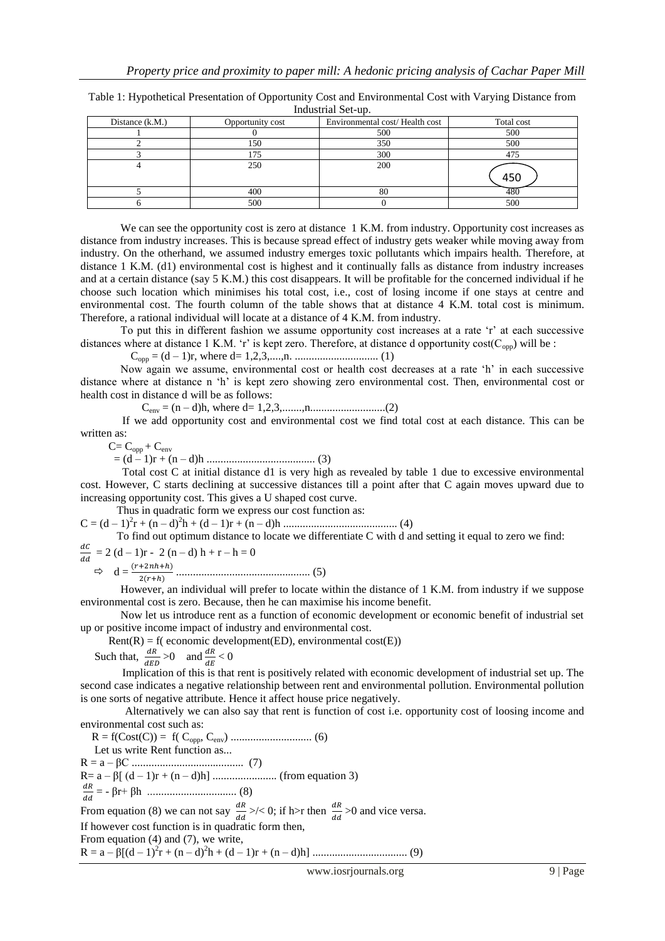| $n_{\text{max}}$ |                   |                  |                                |            |
|------------------|-------------------|------------------|--------------------------------|------------|
|                  | Distance $(k.M.)$ | Opportunity cost | Environmental cost/Health cost | Total cost |
|                  |                   |                  | 500                            | 500        |
|                  |                   | 150              | 350                            | 500        |
|                  |                   | 175              | 300                            | 475        |
|                  |                   | 250              | 200                            | 450        |
|                  |                   | 400              | 80                             |            |
|                  |                   | 500              |                                | 500        |

Table 1: Hypothetical Presentation of Opportunity Cost and Environmental Cost with Varying Distance from Industrial Set-up.

We can see the opportunity cost is zero at distance 1 K.M. from industry. Opportunity cost increases as distance from industry increases. This is because spread effect of industry gets weaker while moving away from industry. On the otherhand, we assumed industry emerges toxic pollutants which impairs health. Therefore, at distance 1 K.M. (d1) environmental cost is highest and it continually falls as distance from industry increases and at a certain distance (say 5 K.M.) this cost disappears. It will be profitable for the concerned individual if he choose such location which minimises his total cost, i.e., cost of losing income if one stays at centre and environmental cost. The fourth column of the table shows that at distance 4 K.M. total cost is minimum. Therefore, a rational individual will locate at a distance of 4 K.M. from industry.

 To put this in different fashion we assume opportunity cost increases at a rate 'r' at each successive distances where at distance 1 K.M. 'r' is kept zero. Therefore, at distance d opportunity  $cost(C<sub>opp</sub>)$  will be :

Copp = (d – 1)r, where d= 1,2,3,....,n. .............................. (1)

 Now again we assume, environmental cost or health cost decreases at a rate 'h' in each successive distance where at distance n 'h' is kept zero showing zero environmental cost. Then, environmental cost or health cost in distance d will be as follows:

 $C_{env} = (n - d)h$ , where  $d = 1, 2, 3, \dots, n, \dots, \dots, \dots, \dots, (2)$ 

 If we add opportunity cost and environmental cost we find total cost at each distance. This can be written as:

 $C = C_{opp} + C_{env}$ 

= (d – 1)r + (n – d)h ....................................... (3)

 Total cost C at initial distance d1 is very high as revealed by table 1 due to excessive environmental cost. However, C starts declining at successive distances till a point after that C again moves upward due to increasing opportunity cost. This gives a U shaped cost curve.

 Thus in quadratic form we express our cost function as: C = (d – 1)<sup>2</sup> r + (n – d)<sup>2</sup> h + (d – 1)r + (n – d)h ......................................... (4)

To find out optimum distance to locate we differentiate C with d and setting it equal to zero we find:

 $\boldsymbol{d}$  $\frac{ac}{dd}$  = 2 (d – 1)r - 2 (n – d) h + r – h = 0

d = ................................................ (5)

 However, an individual will prefer to locate within the distance of 1 K.M. from industry if we suppose environmental cost is zero. Because, then he can maximise his income benefit.

 Now let us introduce rent as a function of economic development or economic benefit of industrial set up or positive income impact of industry and environmental cost.

 $Rent(R) = f($  economic development(ED), environmental cost(E))

Such that, 
$$
\frac{dR}{dED} > 0
$$
 and  $\frac{dR}{dE} < 0$ 

 Implication of this is that rent is positively related with economic development of industrial set up. The second case indicates a negative relationship between rent and environmental pollution. Environmental pollution is one sorts of negative attribute. Hence it affect house price negatively.

 Alternatively we can also say that rent is function of cost i.e. opportunity cost of loosing income and environmental cost such as:

 R = f(Cost(C)) = f( Copp, Cenv) ............................. (6) Let us write Rent function as... R = a – βC ........................................ (7) R= a – β[ (d – 1)r + (n – d)h] ....................... (from equation 3) d = - βr+ βh ................................ (8) From equation (8) we can not say  $\frac{dA}{dd}$  >/< 0; if h>r then  $\frac{dA}{dd}$  >0 and vice versa. If however cost function is in quadratic form then, From equation (4) and (7), we write, R = a – β[(d – 1)<sup>2</sup> r + (n – d)<sup>2</sup> h + (d – 1)r + (n – d)h] .................................. (9)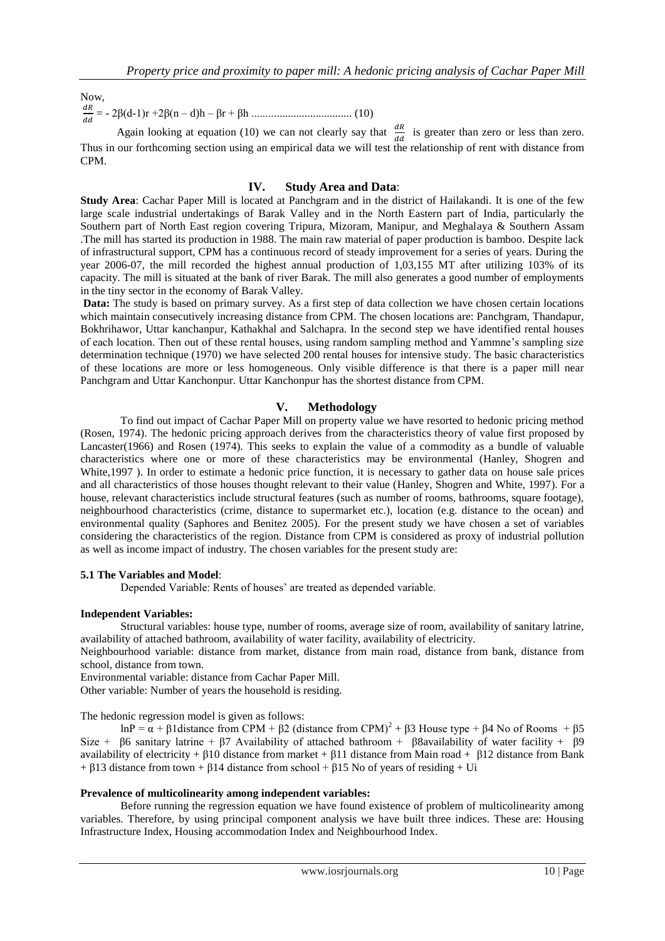## Now,

d = - 2β(d-1)r +2β(n – d)h – βr + βh .................................... (10)

Again looking at equation (10) we can not clearly say that  $\frac{dA}{dd}$  is greater than zero or less than zero. Thus in our forthcoming section using an empirical data we will test the relationship of rent with distance from CPM.

#### **IV. Study Area and Data**:

**Study Area**: Cachar Paper Mill is located at Panchgram and in the district of Hailakandi. It is one of the few large scale industrial undertakings of Barak Valley and in the North Eastern part of India, particularly the Southern part of North East region covering Tripura, Mizoram, Manipur, and Meghalaya & Southern Assam .The mill has started its production in 1988. The main raw material of paper production is bamboo. Despite lack of infrastructural support, CPM has a continuous record of steady improvement for a series of years. During the year 2006-07, the mill recorded the highest annual production of 1,03,155 MT after utilizing 103% of its capacity. The mill is situated at the bank of river Barak. The mill also generates a good number of employments in the tiny sector in the economy of Barak Valley.

**Data:** The study is based on primary survey. As a first step of data collection we have chosen certain locations which maintain consecutively increasing distance from CPM. The chosen locations are: Panchgram, Thandapur, Bokhrihawor, Uttar kanchanpur, Kathakhal and Salchapra. In the second step we have identified rental houses of each location. Then out of these rental houses, using random sampling method and Yammne's sampling size determination technique (1970) we have selected 200 rental houses for intensive study. The basic characteristics of these locations are more or less homogeneous. Only visible difference is that there is a paper mill near Panchgram and Uttar Kanchonpur. Uttar Kanchonpur has the shortest distance from CPM.

### **V. Methodology**

To find out impact of Cachar Paper Mill on property value we have resorted to hedonic pricing method (Rosen, 1974). The hedonic pricing approach derives from the characteristics theory of value first proposed by Lancaster(1966) and Rosen (1974). This seeks to explain the value of a commodity as a bundle of valuable characteristics where one or more of these characteristics may be environmental (Hanley, Shogren and White,1997 ). In order to estimate a hedonic price function, it is necessary to gather data on house sale prices and all characteristics of those houses thought relevant to their value (Hanley, Shogren and White, 1997). For a house, relevant characteristics include structural features (such as number of rooms, bathrooms, square footage), neighbourhood characteristics (crime, distance to supermarket etc.), location (e.g. distance to the ocean) and environmental quality (Saphores and Benitez 2005). For the present study we have chosen a set of variables considering the characteristics of the region. Distance from CPM is considered as proxy of industrial pollution as well as income impact of industry. The chosen variables for the present study are:

### **5.1 The Variables and Model**:

Depended Variable: Rents of houses' are treated as depended variable.

#### **Independent Variables:**

Structural variables: house type, number of rooms, average size of room, availability of sanitary latrine, availability of attached bathroom, availability of water facility, availability of electricity.

Neighbourhood variable: distance from market, distance from main road, distance from bank, distance from school, distance from town.

Environmental variable: distance from Cachar Paper Mill.

Other variable: Number of years the household is residing.

The hedonic regression model is given as follows:

lnP =  $\alpha$  + β1 distance from CPM + β2 (distance from CPM)<sup>2</sup> + β3 House type + β4 No of Rooms + β5 Size + β6 sanitary latrine + β7 Availability of attached bathroom + β8availability of water facility + β9 availability of electricity + β10 distance from market + β11 distance from Main road + β12 distance from Bank + β13 distance from town + β14 distance from school + β15 No of years of residing + Ui

### **Prevalence of multicolinearity among independent variables:**

Before running the regression equation we have found existence of problem of multicolinearity among variables. Therefore, by using principal component analysis we have built three indices. These are: Housing Infrastructure Index, Housing accommodation Index and Neighbourhood Index.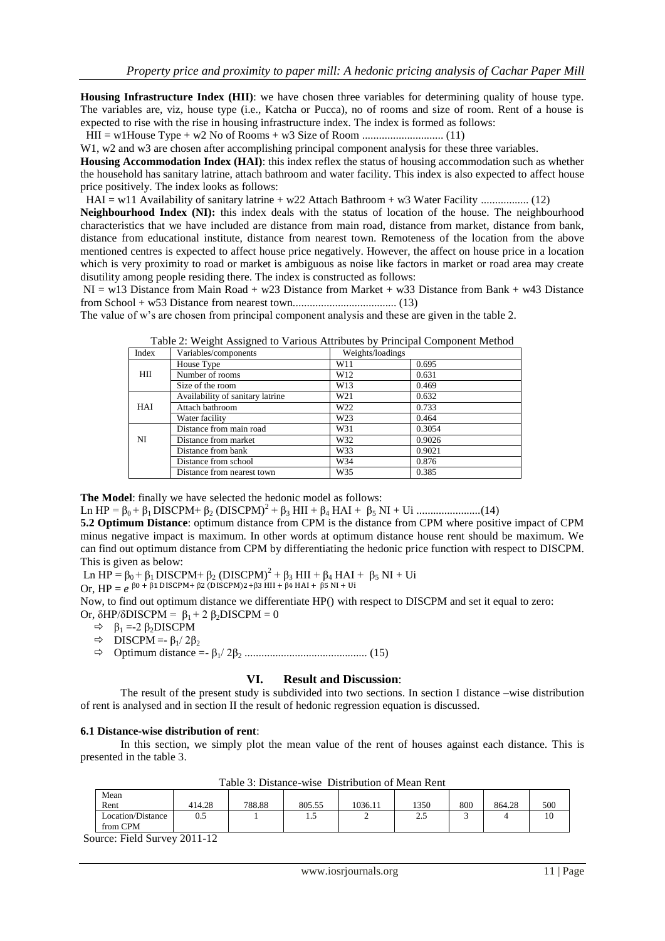**Housing Infrastructure Index (HII)**: we have chosen three variables for determining quality of house type. The variables are, viz, house type (i.e., Katcha or Pucca), no of rooms and size of room. Rent of a house is expected to rise with the rise in housing infrastructure index. The index is formed as follows:

HII = w1House Type + w2 No of Rooms + w3 Size of Room ............................. (11)

W1, w2 and w3 are chosen after accomplishing principal component analysis for these three variables.

**Housing Accommodation Index (HAI)**: this index reflex the status of housing accommodation such as whether the household has sanitary latrine, attach bathroom and water facility. This index is also expected to affect house price positively. The index looks as follows:

HAI = w11 Availability of sanitary latrine + w22 Attach Bathroom + w3 Water Facility ................. (12)

**Neighbourhood Index (NI):** this index deals with the status of location of the house. The neighbourhood characteristics that we have included are distance from main road, distance from market, distance from bank, distance from educational institute, distance from nearest town. Remoteness of the location from the above mentioned centres is expected to affect house price negatively. However, the affect on house price in a location which is very proximity to road or market is ambiguous as noise like factors in market or road area may create disutility among people residing there. The index is constructed as follows:

NI = w13 Distance from Main Road + w23 Distance from Market + w33 Distance from Bank + w43 Distance from School + w53 Distance from nearest town..................................... (13)

The value of w's are chosen from principal component analysis and these are given in the table 2.

| Index | Variables/components             | Weights/loadings |        |
|-------|----------------------------------|------------------|--------|
| ΗП    | House Type                       | W11              | 0.695  |
|       | Number of rooms                  | W12              | 0.631  |
|       | Size of the room                 | W13              | 0.469  |
| HAI   | Availability of sanitary latrine | W21              | 0.632  |
|       | Attach bathroom                  | W22              | 0.733  |
|       | Water facility                   | W23              | 0.464  |
| NI    | Distance from main road          | W31              | 0.3054 |
|       | Distance from market             | W32              | 0.9026 |
|       | Distance from bank               | W33              | 0.9021 |
|       | Distance from school             | W34              | 0.876  |
|       | Distance from nearest town       | W35              | 0.385  |

Table 2: Weight Assigned to Various Attributes by Principal Component Method

**The Model**: finally we have selected the hedonic model as follows:

Ln HP = β0 + β1 DISCPM+ β<sup>2</sup> (DISCPM)<sup>2</sup> + β<sup>3</sup> HII + β<sup>4</sup> HAI + β<sup>5</sup> NI + Ui .......................(14)

**5.2 Optimum Distance**: optimum distance from CPM is the distance from CPM where positive impact of CPM minus negative impact is maximum. In other words at optimum distance house rent should be maximum. We can find out optimum distance from CPM by differentiating the hedonic price function with respect to DISCPM. This is given as below:

Ln HP =  $\beta_0$  +  $\beta_1$  DISCPM+  $\beta_2$  (DISCPM)<sup>2</sup> +  $\beta_3$  HII +  $\beta_4$  HAI +  $\beta_5$  NI + Ui

Or,  $HP = e^{\beta 0 + \beta 1 \text{ DISCPM} + \beta 2 \text{ (DISCPM)} 2 + \beta 3 \text{ HII} + \beta 4 \text{ HAI} + \beta 5}$ 

Now, to find out optimum distance we differentiate HP() with respect to DISCPM and set it equal to zero: Or,  $\delta$ HP/ $\delta$ DISCPM =  $\beta_1 + 2 \beta_2$ DISCPM = 0

- $\Rightarrow$   $\beta_1 = -2 \beta_2$ DISCPM
- $\Rightarrow$  DISCPM =-  $\beta_1/2\beta_2$
- Optimum distance =- β1/ 2β<sup>2</sup> ............................................ (15)

### **VI. Result and Discussion**:

The result of the present study is subdivided into two sections. In section I distance –wise distribution of rent is analysed and in section II the result of hedonic regression equation is discussed.

### **6.1 Distance-wise distribution of rent**:

In this section, we simply plot the mean value of the rent of houses against each distance. This is presented in the table 3.

| Mean              |        |        |        |         |       |     |        |     |
|-------------------|--------|--------|--------|---------|-------|-----|--------|-----|
| Rent              | 414.28 | 788.88 | 805.55 | 1036.11 | 1350  | 800 | 864.28 | 500 |
| Location/Distance | 0.5    |        | ن. 1   | ∸       | ل د ک | سه  |        | 10  |
| from CPM          |        |        |        |         |       |     |        |     |

Table 3: Distance-wise Distribution of Mean Rent

Source: Field Survey 2011-12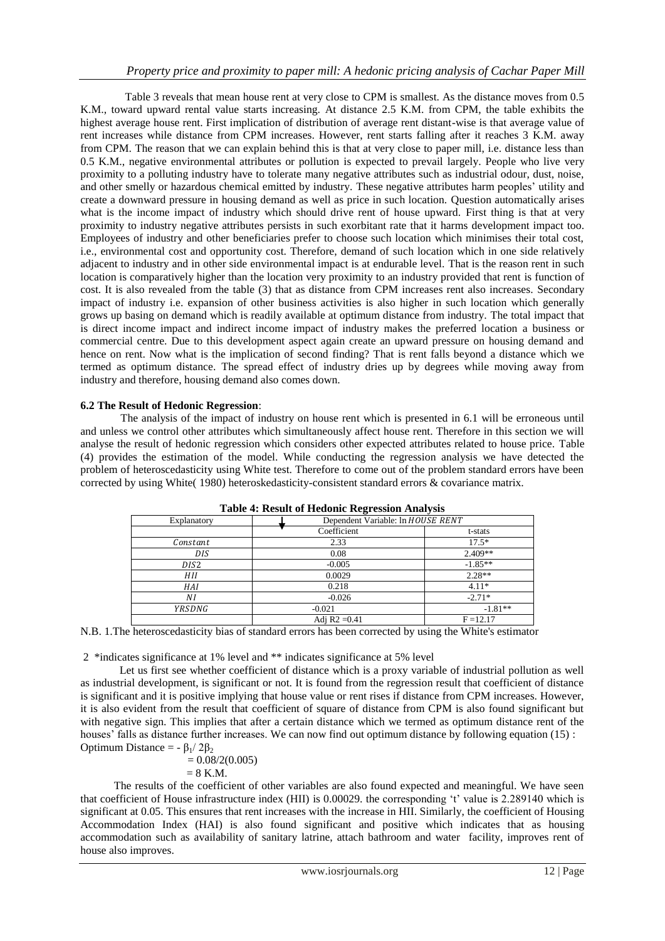Table 3 reveals that mean house rent at very close to CPM is smallest. As the distance moves from 0.5 K.M., toward upward rental value starts increasing. At distance 2.5 K.M. from CPM, the table exhibits the highest average house rent. First implication of distribution of average rent distant-wise is that average value of rent increases while distance from CPM increases. However, rent starts falling after it reaches 3 K.M. away from CPM. The reason that we can explain behind this is that at very close to paper mill, i.e. distance less than 0.5 K.M., negative environmental attributes or pollution is expected to prevail largely. People who live very proximity to a polluting industry have to tolerate many negative attributes such as industrial odour, dust, noise, and other smelly or hazardous chemical emitted by industry. These negative attributes harm peoples' utility and create a downward pressure in housing demand as well as price in such location. Question automatically arises what is the income impact of industry which should drive rent of house upward. First thing is that at very proximity to industry negative attributes persists in such exorbitant rate that it harms development impact too. Employees of industry and other beneficiaries prefer to choose such location which minimises their total cost, i.e., environmental cost and opportunity cost. Therefore, demand of such location which in one side relatively adjacent to industry and in other side environmental impact is at endurable level. That is the reason rent in such location is comparatively higher than the location very proximity to an industry provided that rent is function of cost. It is also revealed from the table (3) that as distance from CPM increases rent also increases. Secondary impact of industry i.e. expansion of other business activities is also higher in such location which generally grows up basing on demand which is readily available at optimum distance from industry. The total impact that is direct income impact and indirect income impact of industry makes the preferred location a business or commercial centre. Due to this development aspect again create an upward pressure on housing demand and hence on rent. Now what is the implication of second finding? That is rent falls beyond a distance which we termed as optimum distance. The spread effect of industry dries up by degrees while moving away from industry and therefore, housing demand also comes down.

## **6.2 The Result of Hedonic Regression**:

The analysis of the impact of industry on house rent which is presented in 6.1 will be erroneous until and unless we control other attributes which simultaneously affect house rent. Therefore in this section we will analyse the result of hedonic regression which considers other expected attributes related to house price. Table (4) provides the estimation of the model. While conducting the regression analysis we have detected the problem of heteroscedasticity using White test. Therefore to come out of the problem standard errors have been corrected by using White( 1980) heteroskedasticity-consistent standard errors & covariance matrix.

| Explanatory     | Dependent Variable: In HOUSE RENT |             |  |
|-----------------|-----------------------------------|-------------|--|
|                 | Coefficient                       | t-stats     |  |
| Constant        | 2.33                              | $17.5*$     |  |
| DIS <sub></sub> | 0.08                              | $2.409**$   |  |
| DIS2            | $-0.005$                          | $-1.85**$   |  |
| HII             | 0.0029                            | $2.28**$    |  |
| HAI             | 0.218                             | $4.11*$     |  |
| ΝI              | $-0.026$                          | $-2.71*$    |  |
| YRSDNG          | $-0.021$                          | $-1.81**$   |  |
|                 | Adj $R2 = 0.41$                   | $F = 12.17$ |  |

| <b>Table 4: Result of Hedonic Regression Analysis</b> |
|-------------------------------------------------------|
|                                                       |

N.B. 1.The heteroscedasticity bias of standard errors has been corrected by using the White's estimator

2 \*indicates significance at 1% level and \*\* indicates significance at 5% level

 Let us first see whether coefficient of distance which is a proxy variable of industrial pollution as well as industrial development, is significant or not. It is found from the regression result that coefficient of distance is significant and it is positive implying that house value or rent rises if distance from CPM increases. However, it is also evident from the result that coefficient of square of distance from CPM is also found significant but with negative sign. This implies that after a certain distance which we termed as optimum distance rent of the houses' falls as distance further increases. We can now find out optimum distance by following equation (15) : Optimum Distance =  $-$  β<sub>1</sub>/ 2β<sub>2</sub>

$$
= 0.08/2(0.005)
$$

 $= 8$  K.M.

 The results of the coefficient of other variables are also found expected and meaningful. We have seen that coefficient of House infrastructure index (HII) is 0.00029. the corresponding 't' value is 2.289140 which is significant at 0.05. This ensures that rent increases with the increase in HII. Similarly, the coefficient of Housing Accommodation Index (HAI) is also found significant and positive which indicates that as housing accommodation such as availability of sanitary latrine, attach bathroom and water facility, improves rent of house also improves.